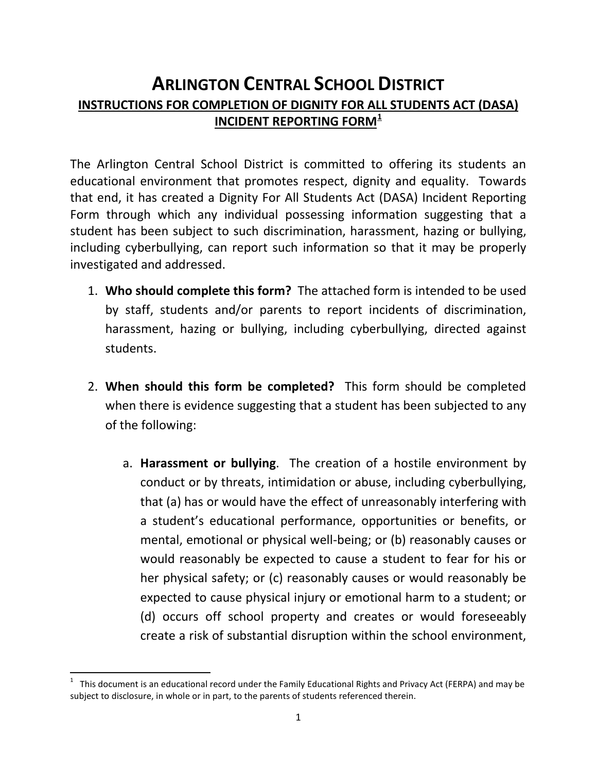## **ARLINGTON CENTRAL SCHOOL DISTRICT INSTRUCTIONS FOR COMPLETION OF DIGNITY FOR ALL STUDENTS ACT (DASA) INCIDENT REPORTING FORM[1](#page-0-0)**

The Arlington Central School District is committed to offering its students an educational environment that promotes respect, dignity and equality. Towards that end, it has created a Dignity For All Students Act (DASA) Incident Reporting Form through which any individual possessing information suggesting that a student has been subject to such discrimination, harassment, hazing or bullying, including cyberbullying, can report such information so that it may be properly investigated and addressed.

- 1. **Who should complete this form?** The attached form is intended to be used by staff, students and/or parents to report incidents of discrimination, harassment, hazing or bullying, including cyberbullying, directed against students.
- 2. **When should this form be completed?** This form should be completed when there is evidence suggesting that a student has been subjected to any of the following:
	- a. **Harassment or bullying**. The creation of a hostile environment by conduct or by threats, intimidation or abuse, including cyberbullying, that (a) has or would have the effect of unreasonably interfering with a student's educational performance, opportunities or benefits, or mental, emotional or physical well-being; or (b) reasonably causes or would reasonably be expected to cause a student to fear for his or her physical safety; or (c) reasonably causes or would reasonably be expected to cause physical injury or emotional harm to a student; or (d) occurs off school property and creates or would foreseeably create a risk of substantial disruption within the school environment,

<span id="page-0-0"></span> $\frac{1}{1}$  $1$  This document is an educational record under the Family Educational Rights and Privacy Act (FERPA) and may be subject to disclosure, in whole or in part, to the parents of students referenced therein.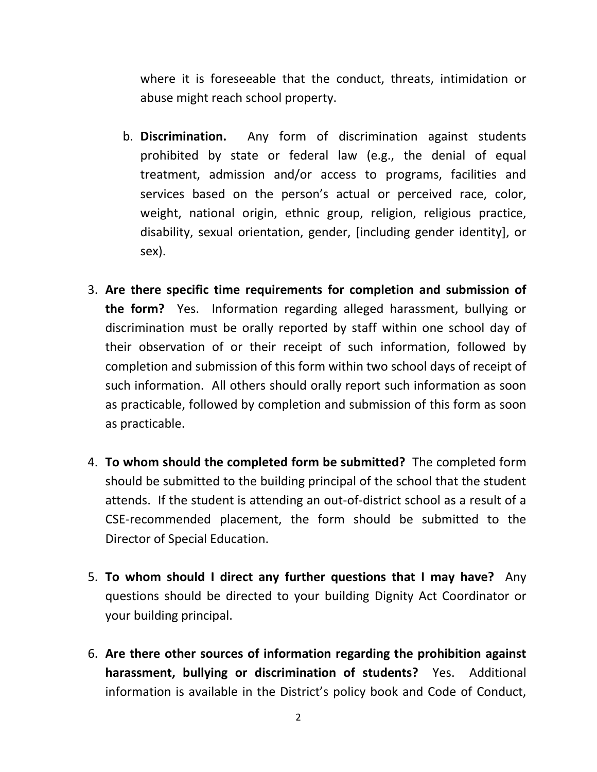where it is foreseeable that the conduct, threats, intimidation or abuse might reach school property.

- b. **Discrimination.** Any form of discrimination against students prohibited by state or federal law (e.g., the denial of equal treatment, admission and/or access to programs, facilities and services based on the person's actual or perceived race, color, weight, national origin, ethnic group, religion, religious practice, disability, sexual orientation, gender, [including gender identity], or sex).
- 3. **Are there specific time requirements for completion and submission of the form?** Yes. Information regarding alleged harassment, bullying or discrimination must be orally reported by staff within one school day of their observation of or their receipt of such information, followed by completion and submission of this form within two school days of receipt of such information. All others should orally report such information as soon as practicable, followed by completion and submission of this form as soon as practicable.
- 4. **To whom should the completed form be submitted?** The completed form should be submitted to the building principal of the school that the student attends. If the student is attending an out-of-district school as a result of a CSE-recommended placement, the form should be submitted to the Director of Special Education.
- 5. **To whom should I direct any further questions that I may have?** Any questions should be directed to your building Dignity Act Coordinator or your building principal.
- 6. **Are there other sources of information regarding the prohibition against harassment, bullying or discrimination of students?** Yes. Additional information is available in the District's policy book and Code of Conduct,